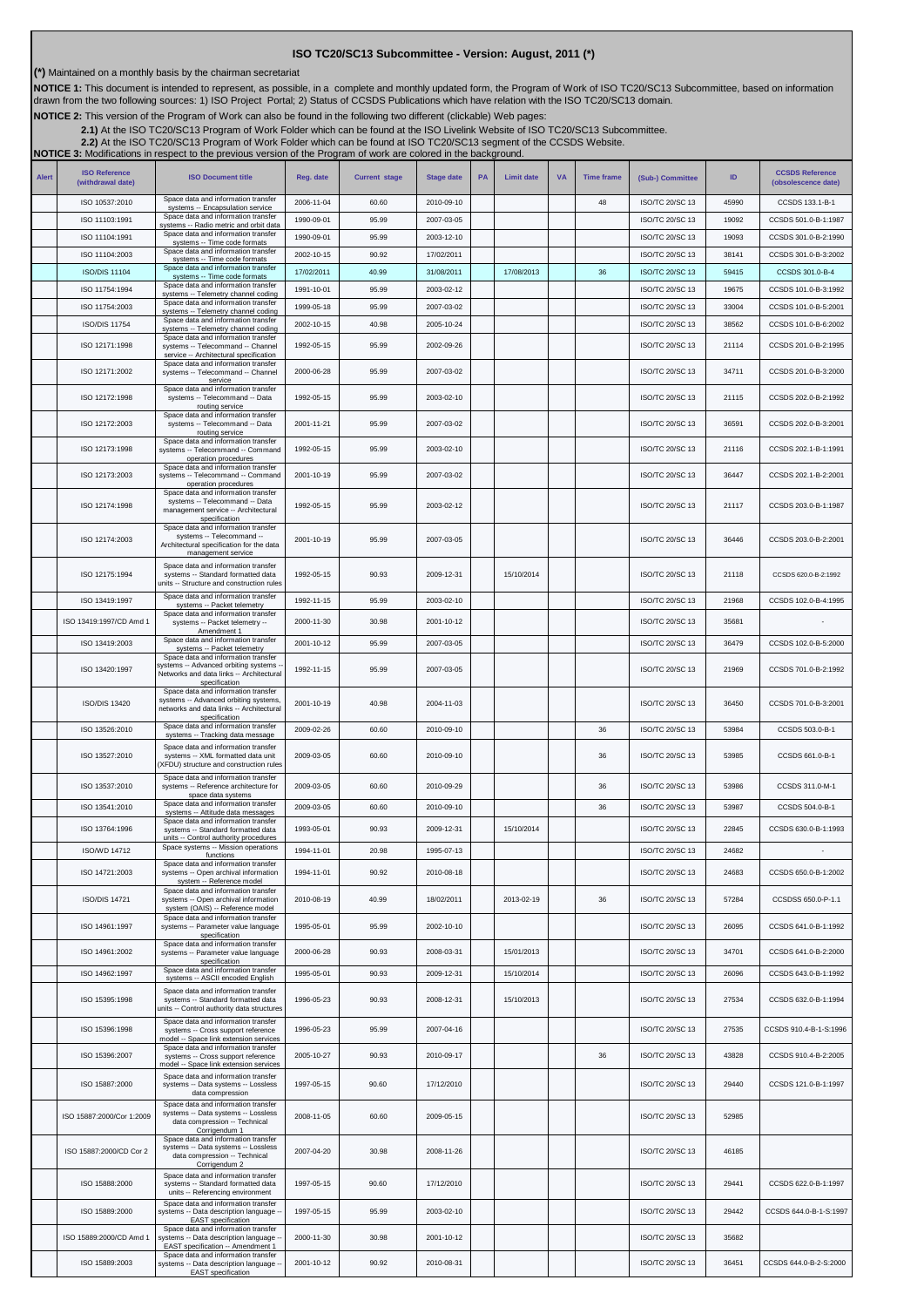## **ISO TC20/SC13 Subcommittee - Version: August, 2011 (\*)**

**(\*)** Maintained on a monthly basis by the chairman secretariat

NOTICE 1: This document is intended to represent, as possible, in a complete and monthly updated form, the Program of Work of ISO TC20/SC13 Subcommittee, based on information<br>drawn from the two following sources: 1) ISO Pr

**NOTICE 2:** This version of the Program of Work can also be found in the following two different (clickable) Web pages:

2.1)At the ISO TC20/SC13 Program of Work Folder which can be found at the ISO Livelink Website of ISO TC20/SC13 Subcommittee.<br>[2.2\)](http://cwe.ccsds.org/cmc/docs/Forms/AllItems.aspx?RootFolder=%2fcmc%2fdocs%2fISO%20TC20%2dSC13%2fISO%20TC20%2dSC13%20Meeting%20Minutes%20and%20Presentations&FolderCTID=&View=%7bD5DD30F7%2d53FC%2d45B9%2d8B93%2d709B280A475B%7d) At the ISO TC20/SC13 Program of Work Folder which can be found at ISO TC20/SC13 segment of

**NOTICE 3:** Modifications in respect to the previous version of the Program of work are colored in the background.

| <b>Alert</b> | <b>ISO Reference</b><br>(withdrawal date) | <b>ISO Document title</b>                                                                                                                                | Reg. date  | <b>Current stage</b> | <b>Stage date</b> | <b>PA</b> | <b>Limit date</b> | <b>VA</b> | <b>Time frame</b> | (Sub-) Committee                   | ID    | <b>CCSDS Reference</b><br>(obsolescence date) |
|--------------|-------------------------------------------|----------------------------------------------------------------------------------------------------------------------------------------------------------|------------|----------------------|-------------------|-----------|-------------------|-----------|-------------------|------------------------------------|-------|-----------------------------------------------|
|              | ISO 10537:2010                            | Space data and information transfer<br>systems -- Encapsulation service                                                                                  | 2006-11-04 | 60.60                | 2010-09-10        |           |                   |           | 48                | ISO/TC 20/SC 13                    | 45990 | CCSDS 133.1-B-1                               |
|              | ISO 11103:1991                            | Space data and information transfer<br>systems -- Radio metric and orbit data                                                                            | 1990-09-01 | 95.99                | 2007-03-05        |           |                   |           |                   | ISO/TC 20/SC 13                    | 19092 | CCSDS 501.0-B-1:1987                          |
|              | ISO 11104:1991                            | Space data and information transfer<br>systems -- Time code formats                                                                                      | 1990-09-01 | 95.99                | 2003-12-10        |           |                   |           |                   | ISO/TC 20/SC 13                    | 19093 | CCSDS 301.0-B-2:1990                          |
|              | ISO 11104:2003                            | Space data and information transfer<br>systems -- Time code formats                                                                                      | 2002-10-15 | 90.92                | 17/02/2011        |           |                   |           |                   | ISO/TC 20/SC 13                    | 38141 | CCSDS 301.0-B-3:2002                          |
|              | <b>ISO/DIS 11104</b>                      | Space data and information transfer<br>systems -- Time code formats                                                                                      | 17/02/2011 | 40.99                | 31/08/2011        |           | 17/08/2013        |           | 36                | ISO/TC 20/SC 13                    | 59415 | CCSDS 301.0-B-4                               |
|              | ISO 11754:1994                            | Space data and information transfer<br>systems -- Telemetry channel coding                                                                               | 1991-10-01 | 95.99                | 2003-02-12        |           |                   |           |                   | ISO/TC 20/SC 13                    | 19675 | CCSDS 101.0-B-3:1992                          |
|              | ISO 11754:2003                            | Space data and information transfer<br>systems -- Telemetry channel coding<br>Space data and information transfer                                        | 1999-05-18 | 95.99                | 2007-03-02        |           |                   |           |                   | ISO/TC 20/SC 13                    | 33004 | CCSDS 101.0-B-5:2001                          |
|              | <b>ISO/DIS 11754</b>                      | systems -- Telemetry channel coding<br>Space data and information transfer                                                                               | 2002-10-15 | 40.98                | 2005-10-24        |           |                   |           |                   | ISO/TC 20/SC 13                    | 38562 | CCSDS 101.0-B-6:2002                          |
|              | ISO 12171:1998                            | systems -- Telecommand -- Channel<br>service -- Architectural specification<br>Space data and information transfer                                       | 1992-05-15 | 95.99                | 2002-09-26        |           |                   |           |                   | ISO/TC 20/SC 13                    | 21114 | CCSDS 201.0-B-2:1995                          |
|              | ISO 12171:2002                            | systems -- Telecommand -- Channel<br>service<br>Space data and information transfer                                                                      | 2000-06-28 | 95.99                | 2007-03-02        |           |                   |           |                   | ISO/TC 20/SC 13                    | 34711 | CCSDS 201.0-B-3:2000                          |
|              | ISO 12172:1998                            | systems -- Telecommand -- Data<br>routing service<br>Space data and information transfer                                                                 | 1992-05-15 | 95.99                | 2003-02-10        |           |                   |           |                   | ISO/TC 20/SC 13                    | 21115 | CCSDS 202.0-B-2:1992                          |
|              | ISO 12172:2003                            | systems -- Telecommand -- Data<br>routing service<br>Space data and information transfer                                                                 | 2001-11-21 | 95.99                | 2007-03-02        |           |                   |           |                   | ISO/TC 20/SC 13                    | 36591 | CCSDS 202.0-B-3:2001                          |
|              | ISO 12173:1998                            | systems -- Telecommand -- Command<br>operation procedures<br>Space data and information transfer                                                         | 1992-05-15 | 95.99                | 2003-02-10        |           |                   |           |                   | ISO/TC 20/SC 13                    | 21116 | CCSDS 202.1-B-1:1991                          |
|              | ISO 12173:2003                            | systems -- Telecommand -- Command<br>operation procedures<br>Space data and information transfer                                                         | 2001-10-19 | 95.99                | 2007-03-02        |           |                   |           |                   | ISO/TC 20/SC 13                    | 36447 | CCSDS 202.1-B-2:2001                          |
|              | ISO 12174:1998                            | systems -- Telecommand -- Data<br>management service -- Architectural<br>specification<br>Space data and information transfer                            | 1992-05-15 | 95.99                | 2003-02-12        |           |                   |           |                   | ISO/TC 20/SC 13                    | 21117 | CCSDS 203.0-B-1:1987                          |
|              | ISO 12174:2003                            | systems -- Telecommand --<br>Architectural specification for the data<br>management service                                                              | 2001-10-19 | 95.99                | 2007-03-05        |           |                   |           |                   | ISO/TC 20/SC 13                    | 36446 | CCSDS 203.0-B-2:2001                          |
|              | ISO 12175:1994                            | Space data and information transfer<br>systems -- Standard formatted data<br>units -- Structure and construction rules                                   | 1992-05-15 | 90.93                | 2009-12-31        |           | 15/10/2014        |           |                   | ISO/TC 20/SC 13                    | 21118 | CCSDS 620.0-B-2:1992                          |
|              | ISO 13419:1997                            | Space data and information transfer<br>systems -- Packet telemetry                                                                                       | 1992-11-15 | 95.99                | 2003-02-10        |           |                   |           |                   | ISO/TC 20/SC 13                    | 21968 | CCSDS 102.0-B-4:1995                          |
|              | ISO 13419:1997/CD Amd 1                   | Space data and information transfer<br>systems -- Packet telemetry --                                                                                    | 2000-11-30 | 30.98                | 2001-10-12        |           |                   |           |                   | ISO/TC 20/SC 13                    | 35681 |                                               |
|              | ISO 13419:2003                            | Amendment 1<br>Space data and information transfer                                                                                                       | 2001-10-12 | 95.99                | 2007-03-05        |           |                   |           |                   | ISO/TC 20/SC 13                    | 36479 | CCSDS 102.0-B-5:2000                          |
|              | ISO 13420:1997                            | systems -- Packet telemetry<br>Space data and information transfer<br>systems -- Advanced orbiting systems -<br>Networks and data links -- Architectural | 1992-11-15 | 95.99                | 2007-03-05        |           |                   |           |                   | ISO/TC 20/SC 13                    | 21969 | CCSDS 701.0-B-2:1992                          |
|              | <b>ISO/DIS 13420</b>                      | specification<br>Space data and information transfer<br>systems -- Advanced orbiting systems,<br>networks and data links -- Architectural                | 2001-10-19 | 40.98                | 2004-11-03        |           |                   |           |                   | ISO/TC 20/SC 13                    | 36450 | CCSDS 701.0-B-3:2001                          |
|              | ISO 13526:2010                            | specification<br>Space data and information transfer                                                                                                     | 2009-02-26 | 60.60                | 2010-09-10        |           |                   |           | 36                | ISO/TC 20/SC 13                    | 53984 | CCSDS 503.0-B-1                               |
|              |                                           | systems -- Tracking data message<br>Space data and information transfer                                                                                  |            |                      |                   |           |                   |           |                   |                                    |       |                                               |
|              | ISO 13527:2010                            | systems -- XML formatted data unit<br>(XFDU) structure and construction rules<br>Space data and information transfer                                     | 2009-03-05 | 60.60                | 2010-09-10        |           |                   |           | 36                | ISO/TC 20/SC 13                    | 53985 | CCSDS 661.0-B-1                               |
|              | ISO 13537:2010                            | systems -- Reference architecture for<br>space data systems<br>Space data and information transfer                                                       | 2009-03-05 | 60.60                | 2010-09-29        |           |                   |           | 36                | ISO/TC 20/SC 13<br>ISO/TC 20/SC 13 | 53986 | CCSDS 311.0-M-1                               |
|              | ISO 13541:2010                            | systems -- Attitude data messages<br>Space data and information transfer                                                                                 | 2009-03-05 | 60.60                | 2010-09-10        |           |                   |           | 36                |                                    | 53987 | CCSDS 504.0-B-1                               |
|              | ISO 13764:1996                            | systems -- Standard formatted data<br>units -- Control authority procedures                                                                              | 1993-05-01 | 90.93                | 2009-12-31        |           | 15/10/2014        |           |                   | ISO/TC 20/SC 13                    | 22845 | CCSDS 630.0-B-1:1993                          |
|              | ISO/WD 14712                              | Space systems -- Mission operations<br>functions                                                                                                         | 1994-11-01 | 20.98                | 1995-07-13        |           |                   |           |                   | ISO/TC 20/SC 13                    | 24682 |                                               |
|              | ISO 14721:2003                            | Space data and information transfer<br>systems -- Open archival information<br>system -- Reference model                                                 | 1994-11-01 | 90.92                | 2010-08-18        |           |                   |           |                   | ISO/TC 20/SC 13                    | 24683 | CCSDS 650.0-B-1:2002                          |
|              | <b>ISO/DIS 14721</b>                      | Space data and information transfer<br>systems -- Open archival information<br>system (OAIS) -- Reference model                                          | 2010-08-19 | 40.99                | 18/02/2011        |           | 2013-02-19        |           | 36                | ISO/TC 20/SC 13                    | 57284 | CCSDSS 650.0-P-1.1                            |
|              | ISO 14961:1997                            | Space data and information transfer<br>systems -- Parameter value language<br>specification                                                              | 1995-05-01 | 95.99                | 2002-10-10        |           |                   |           |                   | ISO/TC 20/SC 13                    | 26095 | CCSDS 641.0-B-1:1992                          |
|              | ISO 14961:2002                            | Space data and information transfer<br>systems -- Parameter value language<br>specification                                                              | 2000-06-28 | 90.93                | 2008-03-31        |           | 15/01/2013        |           |                   | ISO/TC 20/SC 13                    | 34701 | CCSDS 641.0-B-2:2000                          |
|              | ISO 14962:1997                            | Space data and information transfer<br>systems -- ASCII encoded English                                                                                  | 1995-05-01 | 90.93                | 2009-12-31        |           | 15/10/2014        |           |                   | ISO/TC 20/SC 13                    | 26096 | CCSDS 643.0-B-1:1992                          |
|              | ISO 15395:1998                            | Space data and information transfer<br>systems -- Standard formatted data<br>units -- Control authority data structures                                  | 1996-05-23 | 90.93                | 2008-12-31        |           | 15/10/2013        |           |                   | ISO/TC 20/SC 13                    | 27534 | CCSDS 632.0-B-1:1994                          |
|              | ISO 15396:1998                            | Space data and information transfer<br>systems -- Cross support reference<br>model -- Space link extension services                                      | 1996-05-23 | 95.99                | 2007-04-16        |           |                   |           |                   | ISO/TC 20/SC 13                    | 27535 | CCSDS 910.4-B-1-S:1996                        |
|              | ISO 15396:2007                            | Space data and information transfer<br>systems -- Cross support reference<br>model -- Space link extension services                                      | 2005-10-27 | 90.93                | 2010-09-17        |           |                   |           | 36                | ISO/TC 20/SC 13                    | 43828 | CCSDS 910.4-B-2:2005                          |
|              | ISO 15887:2000                            | Space data and information transfer<br>systems -- Data systems -- Lossless<br>data compression                                                           | 1997-05-15 | 90.60                | 17/12/2010        |           |                   |           |                   | ISO/TC 20/SC 13                    | 29440 | CCSDS 121.0-B-1:1997                          |
|              | ISO 15887:2000/Cor 1:2009                 | Space data and information transfer<br>systems -- Data systems -- Lossless<br>data compression -- Technical<br>Corrigendum 1                             | 2008-11-05 | 60.60                | 2009-05-15        |           |                   |           |                   | ISO/TC 20/SC 13                    | 52985 |                                               |
|              | ISO 15887:2000/CD Cor 2                   | Space data and information transfer<br>systems -- Data systems -- Lossless<br>data compression -- Technical<br>Corrigendum 2                             | 2007-04-20 | 30.98                | 2008-11-26        |           |                   |           |                   | ISO/TC 20/SC 13                    | 46185 |                                               |
|              | ISO 15888:2000                            | Space data and information transfer<br>systems -- Standard formatted data<br>units -- Referencing environment                                            | 1997-05-15 | 90.60                | 17/12/2010        |           |                   |           |                   | ISO/TC 20/SC 13                    | 29441 | CCSDS 622.0-B-1:1997                          |
|              | ISO 15889:2000                            | Space data and information transfer<br>systems -- Data description language -<br>EAST specification                                                      | 1997-05-15 | 95.99                | 2003-02-10        |           |                   |           |                   | ISO/TC 20/SC 13                    | 29442 | CCSDS 644.0-B-1-S:1997                        |
|              | ISO 15889:2000/CD Amd 1                   | Space data and information transfer<br>systems -- Data description language -<br>EAST specification -- Amendment 1                                       | 2000-11-30 | 30.98                | 2001-10-12        |           |                   |           |                   | ISO/TC 20/SC 13                    | 35682 |                                               |
|              | ISO 15889:2003                            | Space data and information transfer<br>systems -- Data description language -<br>EAST specification                                                      | 2001-10-12 | 90.92                | 2010-08-31        |           |                   |           |                   | ISO/TC 20/SC 13                    | 36451 | CCSDS 644.0-B-2-S:2000                        |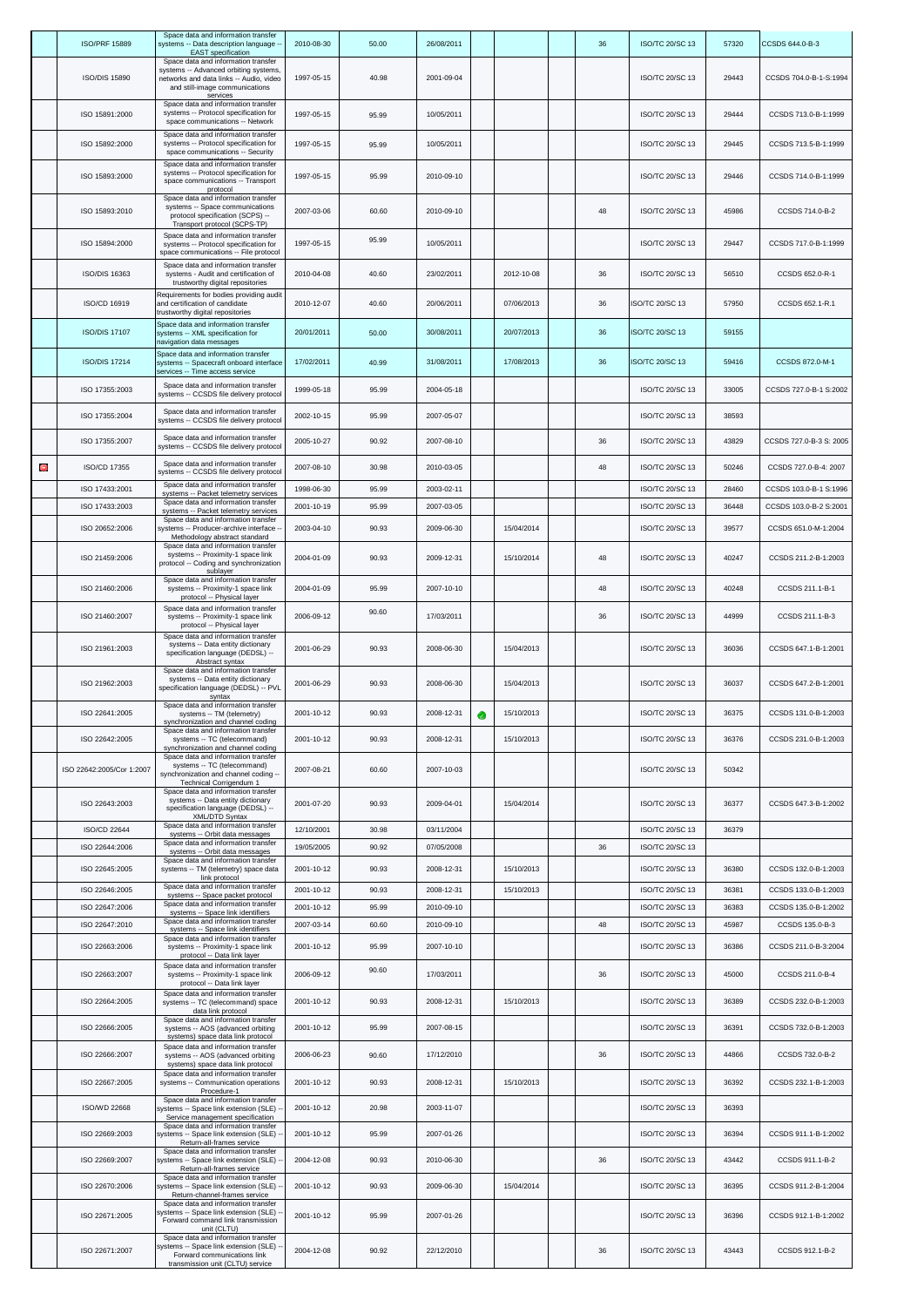|   | <b>ISO/PRF 15889</b>      | Space data and information transfer<br>systems -- Data description language -<br><b>EAST</b> specification                                                            | 2010-08-30 | 50.00 | 26/08/2011 |   |            | 36 | ISO/TC 20/SC 13        | 57320 | CCSDS 644.0-B-3         |
|---|---------------------------|-----------------------------------------------------------------------------------------------------------------------------------------------------------------------|------------|-------|------------|---|------------|----|------------------------|-------|-------------------------|
|   | ISO/DIS 15890             | Space data and information transfer<br>systems -- Advanced orbiting systems,<br>networks and data links -- Audio, video<br>and still-image communications<br>services | 1997-05-15 | 40.98 | 2001-09-04 |   |            |    | ISO/TC 20/SC 13        | 29443 | CCSDS 704.0-B-1-S:1994  |
|   | ISO 15891:2000            | Space data and information transfer<br>systems -- Protocol specification for<br>space communications -- Network                                                       | 1997-05-15 | 95.99 | 10/05/2011 |   |            |    | ISO/TC 20/SC 13        | 29444 | CCSDS 713.0-B-1:1999    |
|   | ISO 15892:2000            | Space data and information transfer<br>systems -- Protocol specification for                                                                                          | 1997-05-15 | 95.99 | 10/05/2011 |   |            |    | ISO/TC 20/SC 13        | 29445 | CCSDS 713.5-B-1:1999    |
|   | ISO 15893:2000            | space communications -- Security<br>Space data and information transfer<br>systems -- Protocol specification for<br>space communications -- Transport                 | 1997-05-15 | 95.99 | 2010-09-10 |   |            |    | ISO/TC 20/SC 13        | 29446 | CCSDS 714.0-B-1:1999    |
|   | ISO 15893:2010            | protocol<br>Space data and information transfer<br>systems -- Space communications<br>protocol specification (SCPS) --                                                | 2007-03-06 | 60.60 | 2010-09-10 |   |            | 48 | ISO/TC 20/SC 13        | 45986 | CCSDS 714.0-B-2         |
|   |                           | Transport protocol (SCPS-TP)<br>Space data and information transfer                                                                                                   |            | 95.99 |            |   |            |    |                        |       |                         |
|   | ISO 15894:2000            | systems -- Protocol specification for<br>space communications -- File protocol                                                                                        | 1997-05-15 |       | 10/05/2011 |   |            |    | ISO/TC 20/SC 13        | 29447 | CCSDS 717.0-B-1:1999    |
|   | ISO/DIS 16363             | Space data and information transfer<br>systems - Audit and certification of<br>trustworthy digital repositories                                                       | 2010-04-08 | 40.60 | 23/02/2011 |   | 2012-10-08 | 36 | ISO/TC 20/SC 13        | 56510 | CCSDS 652.0-R-1         |
|   | ISO/CD 16919              | Requirements for bodies providing audit<br>and certification of candidate<br>trustworthy digital repositories                                                         | 2010-12-07 | 40.60 | 20/06/2011 |   | 07/06/2013 | 36 | ISO/TC 20/SC 13        | 57950 | CCSDS 652.1-R.1         |
|   | <b>ISO/DIS 17107</b>      | Space data and information transfer<br>systems -- XML specification for<br>navigation data messages                                                                   | 20/01/2011 | 50.00 | 30/08/2011 |   | 20/07/2013 | 36 | <b>ISO/TC 20/SC 13</b> | 59155 |                         |
|   | <b>ISO/DIS 17214</b>      | Space data and information transfer<br>systems -- Spacecraft onboard interface<br>services -- Time access service                                                     | 17/02/2011 | 40.99 | 31/08/2011 |   | 17/08/2013 | 36 | <b>ISO/TC 20/SC 13</b> | 59416 | CCSDS 872.0-M-1         |
|   | ISO 17355:2003            | Space data and information transfer<br>systems -- CCSDS file delivery protocol                                                                                        | 1999-05-18 | 95.99 | 2004-05-18 |   |            |    | <b>ISO/TC 20/SC 13</b> | 33005 | CCSDS 727.0-B-1 S:2002  |
|   | ISO 17355:2004            | Space data and information transfer<br>systems -- CCSDS file delivery protocol                                                                                        | 2002-10-15 | 95.99 | 2007-05-07 |   |            |    | ISO/TC 20/SC 13        | 38593 |                         |
|   | ISO 17355:2007            | Space data and information transfer<br>systems -- CCSDS file delivery protocol                                                                                        | 2005-10-27 | 90.92 | 2007-08-10 |   |            | 36 | ISO/TC 20/SC 13        | 43829 | CCSDS 727.0-B-3 S: 2005 |
| O | ISO/CD 17355              | Space data and information transfer<br>systems -- CCSDS file delivery protocol                                                                                        | 2007-08-10 | 30.98 | 2010-03-05 |   |            | 48 | ISO/TC 20/SC 13        | 50246 | CCSDS 727.0-B-4: 2007   |
|   | ISO 17433:2001            | Space data and information transfer<br>systems -- Packet telemetry services                                                                                           | 1998-06-30 | 95.99 | 2003-02-11 |   |            |    | ISO/TC 20/SC 13        | 28460 | CCSDS 103.0-B-1 S:1996  |
|   | ISO 17433:2003            | Space data and information transfer<br>systems -- Packet telemetry services<br>Space data and information transfer                                                    | 2001-10-19 | 95.99 | 2007-03-05 |   |            |    | ISO/TC 20/SC 13        | 36448 | CCSDS 103.0-B-2 S:2001  |
|   | ISO 20652:2006            | systems -- Producer-archive interface -<br>Methodology abstract standard                                                                                              | 2003-04-10 | 90.93 | 2009-06-30 |   | 15/04/2014 |    | ISO/TC 20/SC 13        | 39577 | CCSDS 651.0-M-1:2004    |
|   | ISO 21459:2006            | Space data and information transfer<br>systems -- Proximity-1 space link<br>protocol -- Coding and synchronization<br>sublayer                                        | 2004-01-09 | 90.93 | 2009-12-31 |   | 15/10/2014 | 48 | ISO/TC 20/SC 13        | 40247 | CCSDS 211.2-B-1:2003    |
|   | ISO 21460:2006            | Space data and information transfer<br>systems -- Proximity-1 space link<br>protocol -- Physical layer                                                                | 2004-01-09 | 95.99 | 2007-10-10 |   |            | 48 | ISO/TC 20/SC 13        | 40248 | CCSDS 211.1-B-1         |
|   | ISO 21460:2007            | Space data and information transfer<br>systems -- Proximity-1 space link<br>protocol -- Physical layer                                                                | 2006-09-12 | 90.60 | 17/03/2011 |   |            | 36 | ISO/TC 20/SC 13        | 44999 | CCSDS 211.1-B-3         |
|   | ISO 21961:2003            | Space data and information transfer<br>systems -- Data entity dictionary<br>specification language (DEDSL) --<br>Abstract syntax                                      | 2001-06-29 | 90.93 | 2008-06-30 |   | 15/04/2013 |    | ISO/TC 20/SC 13        | 36036 | CCSDS 647.1-B-1:2001    |
|   | ISO 21962:2003            | Space data and information transfer<br>systems -- Data entity dictionary<br>specification language (DEDSL) -- PVL<br>syntax                                           | 2001-06-29 | 90.93 | 2008-06-30 |   | 15/04/2013 |    | ISO/TC 20/SC 13        | 36037 | CCSDS 647.2-B-1:2001    |
|   | ISO 22641:2005            | Space data and information transfer<br>systems -- TM (telemetry)<br>synchronization and channel coding                                                                | 2001-10-12 | 90.93 | 2008-12-31 | Ø | 15/10/2013 |    | ISO/TC 20/SC 13        | 36375 | CCSDS 131.0-B-1:2003    |
|   | ISO 22642:2005            | Space data and information transfer<br>systems -- TC (telecommand)<br>synchronization and channel coding                                                              | 2001-10-12 | 90.93 | 2008-12-31 |   | 15/10/2013 |    | ISO/TC 20/SC 13        | 36376 | CCSDS 231.0-B-1:2003    |
|   | ISO 22642:2005/Cor 1:2007 | Space data and information transfer<br>systems -- TC (telecommand)<br>synchronization and channel coding --<br>Technical Corrigendum 1                                | 2007-08-21 | 60.60 | 2007-10-03 |   |            |    | ISO/TC 20/SC 13        | 50342 |                         |
|   | ISO 22643:2003            | Space data and information transfer<br>systems -- Data entity dictionary<br>specification language (DEDSL) --<br>XML/DTD Syntax                                       | 2001-07-20 | 90.93 | 2009-04-01 |   | 15/04/2014 |    | ISO/TC 20/SC 13        | 36377 | CCSDS 647.3-B-1:2002    |
|   | <b>ISO/CD 22644</b>       | Space data and information transfer<br>systems -- Orbit data messages                                                                                                 | 12/10/2001 | 30.98 | 03/11/2004 |   |            |    | ISO/TC 20/SC 13        | 36379 |                         |
|   | ISO 22644:2006            | Space data and information transfer<br>systems -- Orbit data messages                                                                                                 | 19/05/2005 | 90.92 | 07/05/2008 |   |            | 36 | ISO/TC 20/SC 13        |       |                         |
|   | ISO 22645:2005            | Space data and information transfer<br>systems -- TM (telemetry) space data<br>link protocol                                                                          | 2001-10-12 | 90.93 | 2008-12-31 |   | 15/10/2013 |    | ISO/TC 20/SC 13        | 36380 | CCSDS 132.0-B-1:2003    |
|   | ISO 22646:2005            | Space data and information transfer<br>systems -- Space packet protocol                                                                                               | 2001-10-12 | 90.93 | 2008-12-31 |   | 15/10/2013 |    | ISO/TC 20/SC 13        | 36381 | CCSDS 133.0-B-1:2003    |
|   | ISO 22647:2006            | Space data and information transfer<br>systems -- Space link identifiers<br>Space data and information transfer                                                       | 2001-10-12 | 95.99 | 2010-09-10 |   |            |    | ISO/TC 20/SC 13        | 36383 | CCSDS 135.0-B-1:2002    |
|   | ISO 22647:2010            | systems -- Space link identifiers<br>Space data and information transfer                                                                                              | 2007-03-14 | 60.60 | 2010-09-10 |   |            | 48 | ISO/TC 20/SC 13        | 45987 | CCSDS 135.0-B-3         |
|   | ISO 22663:2006            | systems -- Proximity-1 space link<br>protocol -- Data link layer<br>Space data and information transfer                                                               | 2001-10-12 | 95.99 | 2007-10-10 |   |            |    | ISO/TC 20/SC 13        | 36386 | CCSDS 211.0-B-3:2004    |
|   | ISO 22663:2007            | systems -- Proximity-1 space link<br>protocol -- Data link layer<br>Space data and information transfer                                                               | 2006-09-12 | 90.60 | 17/03/2011 |   |            | 36 | ISO/TC 20/SC 13        | 45000 | CCSDS 211.0-B-4         |
|   | ISO 22664:2005            | systems -- TC (telecommand) space<br>data link protocol<br>Space data and information transfer                                                                        | 2001-10-12 | 90.93 | 2008-12-31 |   | 15/10/2013 |    | ISO/TC 20/SC 13        | 36389 | CCSDS 232.0-B-1:2003    |
|   | ISO 22666:2005            | systems -- AOS (advanced orbiting<br>systems) space data link protocol<br>Space data and information transfer                                                         | 2001-10-12 | 95.99 | 2007-08-15 |   |            |    | ISO/TC 20/SC 13        | 36391 | CCSDS 732.0-B-1:2003    |
|   | ISO 22666:2007            | systems -- AOS (advanced orbiting<br>systems) space data link protocol<br>Space data and information transfer                                                         | 2006-06-23 | 90.60 | 17/12/2010 |   |            | 36 | ISO/TC 20/SC 13        | 44866 | CCSDS 732.0-B-2         |
|   | ISO 22667:2005            | systems -- Communication operations<br>Procedure-1                                                                                                                    | 2001-10-12 | 90.93 | 2008-12-31 |   | 15/10/2013 |    | ISO/TC 20/SC 13        | 36392 | CCSDS 232.1-B-1:2003    |
|   | ISO/WD 22668              | Space data and information transfer<br>systems -- Space link extension (SLE)<br>Service management specification                                                      | 2001-10-12 | 20.98 | 2003-11-07 |   |            |    | ISO/TC 20/SC 13        | 36393 |                         |
|   | ISO 22669:2003            | Space data and information transfer<br>systems -- Space link extension (SLE)<br>Return-all-frames service                                                             | 2001-10-12 | 95.99 | 2007-01-26 |   |            |    | ISO/TC 20/SC 13        | 36394 | CCSDS 911.1-B-1:2002    |
|   | ISO 22669:2007            | Space data and information transfer<br>systems -- Space link extension (SLE)                                                                                          | 2004-12-08 | 90.93 | 2010-06-30 |   |            | 36 | ISO/TC 20/SC 13        | 43442 | CCSDS 911.1-B-2         |
|   | ISO 22670:2006            | Return-all-frames service<br>Space data and information transfer<br>systems -- Space link extension (SLE)                                                             | 2001-10-12 | 90.93 | 2009-06-30 |   | 15/04/2014 |    | ISO/TC 20/SC 13        | 36395 | CCSDS 911.2-B-1:2004    |
|   | ISO 22671:2005            | Return-channel-frames service<br>Space data and information transfer<br>systems -- Space link extension (SLE)<br>Forward command link transmission                    | 2001-10-12 | 95.99 | 2007-01-26 |   |            |    | ISO/TC 20/SC 13        | 36396 | CCSDS 912.1-B-1:2002    |
|   |                           | unit (CLTU)<br>Space data and information transfer                                                                                                                    |            |       |            |   |            |    |                        |       |                         |
|   | ISO 22671:2007            | systems -- Space link extension (SLE)<br>Forward communications link<br>transmission unit (CLTU) service                                                              | 2004-12-08 | 90.92 | 22/12/2010 |   |            | 36 | ISO/TC 20/SC 13        | 43443 | CCSDS 912.1-B-2         |